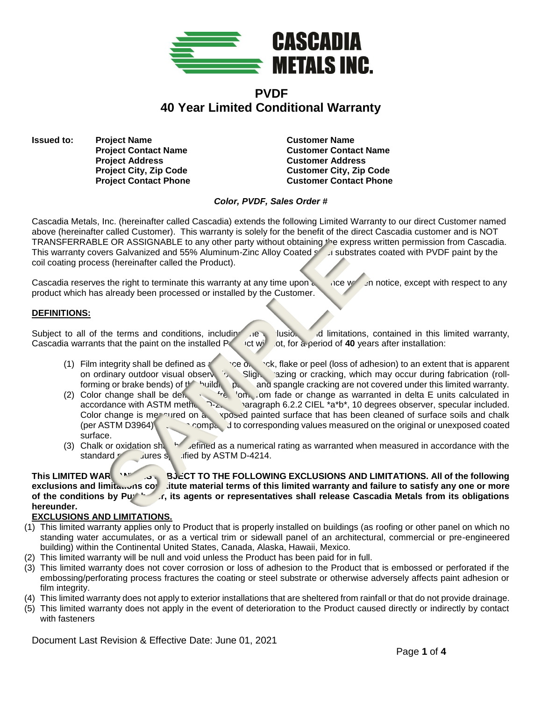

# **PVDF 40 Year Limited Conditional Warranty**

**Issued to:** Project Name **Customer Name Customer Name Project Address Customer Address**

**Project Contact Name Customer Contact Name Project City, Zip Code Customer City, Zip Code Project Contact Phone Customer Contact Phone** 

## *Color, PVDF, Sales Order #*

Cascadia Metals, Inc. (hereinafter called Cascadia) extends the following Limited Warranty to our direct Customer named above (hereinafter called Customer). This warranty is solely for the benefit of the direct Cascadia customer and is NOT TRANSFERRABLE OR ASSIGNABLE to any other party without obtaining the express written permission from Cascadia. This warranty covers Galvanized and 55% Aluminum-Zinc Alloy Coated steel substrates coated with PVDF paint by the coil coating process (hereinafter called the Product).

Cascadia reserves the right to terminate this warranty at any time upon  $\epsilon$  are written notice, except with respect to any product which has already been processed or installed by the Customer.

# **DEFINITIONS:**

Subject to all of the terms and conditions, including the exclusions and limitations, contained in this limited warranty, Cascadia warrants that the paint on the installed  $P_{\text{right}}$  or twind of a period of **40** years after installation:

- (1) Film integrity shall be defined as  $\sim$  crack, flake or peel (loss of adhesion) to an extent that is apparent on ordinary outdoor visual observation. Slight crazing or cracking, which may occur during fabrication (rollforming or brake bends) of the building particle and spangle cracking are not covered under this limited warranty.
- (2) Color change shall be defined as freedom fade or change as warranted in delta E units calculated in  $\frac{1}{2}$  on  $\frac{1}{2}$  arragraph 6.2.2 CIEL \*a\*b\*. 10 degrees observer, specular included. accordance with ASTM method  $\sum_{2}$  aragraph 6.2.2 CIEL \*a\*b\*, 10 degrees observer, specular included. Color change is measured on an exposed painted surface that has been cleaned of surface soils and chalk (per ASTM D3964) compared to corresponding values measured on the original or unexposed coated surface.
- (3) Chalk or oxidation shall be defined as a numerical rating as warranted when measured in accordance with the standard *procedures* specified by ASTM D-4214.

## **This LIMITED WARRANTY IS SUBJECT TO THE FOLLOWING EXCLUSIONS AND LIMITATIONS. All of the following exclusions and limitations constitute material terms of this limited warranty and failure to satisfy any one or more** of the conditions by Purchast, its agents or representatives shall release Cascadia Metals from its obligations **hereunder.**

## **EXCLUSIONS AND LIMITATIONS.**

- (1) This limited warranty applies only to Product that is properly installed on buildings (as roofing or other panel on which no standing water accumulates, or as a vertical trim or sidewall panel of an architectural, commercial or pre-engineered building) within the Continental United States, Canada, Alaska, Hawaii, Mexico.
- (2) This limited warranty will be null and void unless the Product has been paid for in full.
- (3) This limited warranty does not cover corrosion or loss of adhesion to the Product that is embossed or perforated if the embossing/perforating process fractures the coating or steel substrate or otherwise adversely affects paint adhesion or film integrity.
- (4) This limited warranty does not apply to exterior installations that are sheltered from rainfall or that do not provide drainage.
- (5) This limited warranty does not apply in the event of deterioration to the Product caused directly or indirectly by contact with fasteners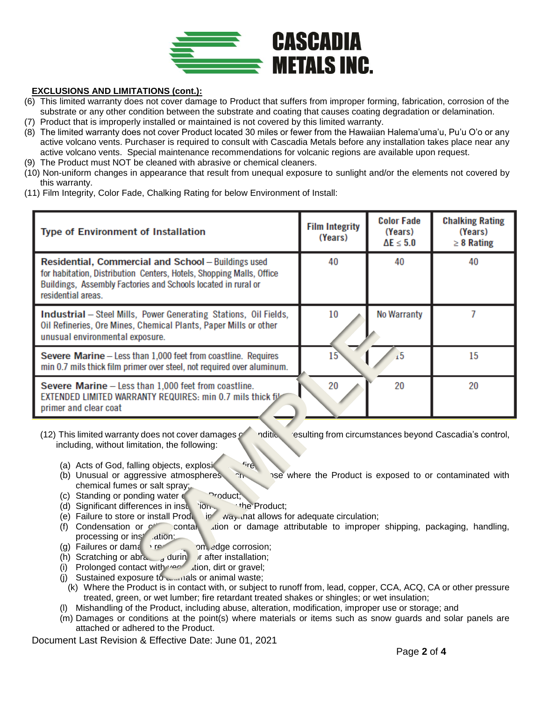

## **EXCLUSIONS AND LIMITATIONS (cont.):**

- (6) This limited warranty does not cover damage to Product that suffers from improper forming, fabrication, corrosion of the substrate or any other condition between the substrate and coating that causes coating degradation or delamination.
- (7) Product that is improperly installed or maintained is not covered by this limited warranty.
- (8) The limited warranty does not cover Product located 30 miles or fewer from the Hawaiian Halema'uma'u, Pu'u O'o or any active volcano vents. Purchaser is required to consult with Cascadia Metals before any installation takes place near any active volcano vents. Special maintenance recommendations for volcanic regions are available upon request.
- (9) The Product must NOT be cleaned with abrasive or chemical cleaners.
- (10) Non-uniform changes in appearance that result from unequal exposure to sunlight and/or the elements not covered by this warranty.
- (11) Film Integrity, Color Fade, Chalking Rating for below Environment of Install:

| <b>Type of Environment of Installation</b>                                                                                                                                                                         | <b>Film Integrity</b><br>(Years) | <b>Color Fade</b><br>(Years)<br>$\Delta E \leq 5.0$ | <b>Chalking Rating</b><br>(Years)<br>$\geq 8$ Rating |
|--------------------------------------------------------------------------------------------------------------------------------------------------------------------------------------------------------------------|----------------------------------|-----------------------------------------------------|------------------------------------------------------|
| Residential, Commercial and School - Buildings used<br>for habitation, Distribution Centers, Hotels, Shopping Malls, Office<br>Buildings, Assembly Factories and Schools located in rural or<br>residential areas. | 40                               | 40                                                  | 40                                                   |
| <b>Industrial</b> – Steel Mills, Power Generating Stations, Oil Fields,<br>Oil Refineries, Ore Mines, Chemical Plants, Paper Mills or other<br>unusual environmental exposure.                                     | 10                               | No Warranty                                         |                                                      |
| Severe Marine - Less than 1,000 feet from coastline. Requires<br>min 0.7 mils thick film primer over steel, not required over aluminum.                                                                            | 15                               | $\sqrt{5}$                                          | 15                                                   |
| Severe Marine - Less than 1,000 feet from coastline.<br>EXTENDED LIMITED WARRANTY REQUIRES: min 0.7 mils thick fil-<br>primer and clear coat                                                                       | 20                               | 20                                                  | 20                                                   |

(12) This limited warranty does not cover damages  $\sim$  -nditional resulting from circumstances beyond Cascadia's control, including, without limitation, the following:

- (a) Acts of God, falling objects, explosicular fire
- (b) Unusual or aggressive atmospheres  $\sum_{n=1}^{\infty}$  as where the Product is exposed to or contaminated with chemical fumes or salt spray;
- 
- (c) Standing or ponding water on the Product;<br>(d) Significant differences in instantion the Product; (d) Significant differences in insulation.
- (e) Failure to store or install Production in a way that allows for adequate circulation;
- (f) Condensation or  $\sim$  contamination or damage attributable to improper shipping, packaging, handling, processing or ins<sup>tallation</sup>:
- (g) Failures or damage resulting from edge corrosion;
- (h) Scratching or abrading during or after installation;
- (i) Prolonged contact with vector dirt or gravel;
- (i) Sustained exposure to  $\frac{1}{2}$  als or animal waste;
- (k) Where the Product is in contact with, or subject to runoff from, lead, copper, CCA, ACQ, CA or other pressure treated, green, or wet lumber; fire retardant treated shakes or shingles; or wet insulation;
- Mishandling of the Product, including abuse, alteration, modification, improper use or storage; and
- (m) Damages or conditions at the point(s) where materials or items such as snow guards and solar panels are attached or adhered to the Product.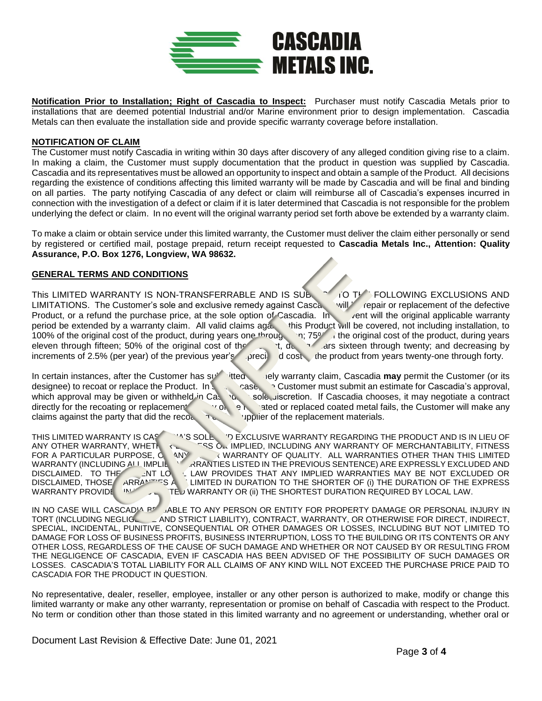

**Notification Prior to Installation; Right of Cascadia to Inspect:** Purchaser must notify Cascadia Metals prior to installations that are deemed potential Industrial and/or Marine environment prior to design implementation. Cascadia Metals can then evaluate the installation side and provide specific warranty coverage before installation.

#### **NOTIFICATION OF CLAIM**

The Customer must notify Cascadia in writing within 30 days after discovery of any alleged condition giving rise to a claim. In making a claim, the Customer must supply documentation that the product in question was supplied by Cascadia. Cascadia and its representatives must be allowed an opportunity to inspect and obtain a sample of the Product. All decisions regarding the existence of conditions affecting this limited warranty will be made by Cascadia and will be final and binding on all parties. The party notifying Cascadia of any defect or claim will reimburse all of Cascadia's expenses incurred in connection with the investigation of a defect or claim if it is later determined that Cascadia is not responsible for the problem underlying the defect or claim. In no event will the original warranty period set forth above be extended by a warranty claim.

To make a claim or obtain service under this limited warranty, the Customer must deliver the claim either personally or send by registered or certified mail, postage prepaid, return receipt requested to **Cascadia Metals Inc., Attention: Quality Assurance, P.O. Box 1276, Longview, WA 98632.**

#### **GENERAL TERMS AND CONDITIONS**

This LIMITED WARRANTY IS NON-TRANSFERRABLE AND IS SUBLECT TO THE FOLLOWING EXCLUSIONS AND LIMITATIONS. The Customer's sole and exclusive remedy against Cascandia will be repair or replacement of the defective Product, or a refund the purchase price, at the sole option of Cascadia. In when will the original applicable warranty period be extended by a warranty claim. All valid claims aga. this Product will be covered, not includi period be extended by a warranty claim. All valid claims against 100% of the original cost of the product, during years one through the original cost of the product, during years eleven through fifteen; 50% of the original cost of the product of the product of the product of the product of the product of the product of the product of the product of the product of the product of the product of the increments of 2.5% (per year) of the previous year's peciation of the product from years twenty-one through forty.

In certain instances, after the Customer has submitted a timely warranty claim, Cascadia **may** permit the Customer (or its designee) to recoat or replace the Product. In such a case, constomer must submit an estimate for Cascadia's approval, which approval may be given or withheld in Caseas can essole discretion. If Cascadia chooses, it may negotiate a contract directly for the recoating or replacement. If any only on the replaced coated metal fails, the Customer will make any claims against the party that did the recoating or the replacement materials.

THIS LIMITED WARRANTY IS CASCAPTING IS IN LIEU OF ANY OTHER WARRANTY, WHETHER EXENT THIS ON IMPLIED, INCLUDING ANY WARRANTY OF MERCHANTABILITY, FITNESS ON THIS LIMITED FOR A PARTICULAR PURPOSE, C ANY WARRANTY OF QUALITY. ALL WARRANTIES OTHER THAN THIS LIMITED WARRANTY (INCLUDING ALL IMPLIE ) ARANTIES LISTED IN THE PREVIOUS SENTENCE) ARE EXPRESSLY EXCLUDED AND DISCLAIMED. TO THE LAT LOCAL LAW PROVIDES THAT ANY IMPLIED WARRANTIES MAY BE NOT EXCLUDED OR<br>DISCLAIMED, THOSE ARRANTIES AN ILIMITED IN DURATION TO THE SHORTER OF (i) THE DURATION OF THE EXPRESS DISCLAIMED, THOSE ARRANTIES ARE LIMITED IN DURATION TO THE SHORTER OF (i) THE DURATION OF THE EXPRESS WARRANTY OR (ii) THE SHORTEST DURATION REQUIRED BY LOCAL LAW. WARRANTY PROVIDE **IN THEIS WARRANTY OR (ii) THE SHORTEST DURATION REQUIRED BY LOCAL LAW.** 

IN NO CASE WILL CASCAD<sup>IA BE</sup> LABLE TO ANY PERSON OR ENTITY FOR PROPERTY DAMAGE OR PERSONAL INJURY IN TORT (INCLUDING NEGLIGENLARD STRICT LIABILITY), CONTRACT, WARRANTY, OR OTHERWISE FOR DIRECT, INDIRECT, SPECIAL, INCIDENTAL, PUNITIVE, CONSEQUENTIAL OR OTHER DAMAGES OR LOSSES, INCLUDING BUT NOT LIMITED TO DAMAGE FOR LOSS OF BUSINESS PROFITS, BUSINESS INTERRUPTION, LOSS TO THE BUILDING OR ITS CONTENTS OR ANY OTHER LOSS, REGARDLESS OF THE CAUSE OF SUCH DAMAGE AND WHETHER OR NOT CAUSED BY OR RESULTING FROM THE NEGLIGENCE OF CASCADIA, EVEN IF CASCADIA HAS BEEN ADVISED OF THE POSSIBILITY OF SUCH DAMAGES OR LOSSES. CASCADIA'S TOTAL LIABILITY FOR ALL CLAIMS OF ANY KIND WILL NOT EXCEED THE PURCHASE PRICE PAID TO CASCADIA FOR THE PRODUCT IN QUESTION.

No representative, dealer, reseller, employee, installer or any other person is authorized to make, modify or change this limited warranty or make any other warranty, representation or promise on behalf of Cascadia with respect to the Product. No term or condition other than those stated in this limited warranty and no agreement or understanding, whether oral or